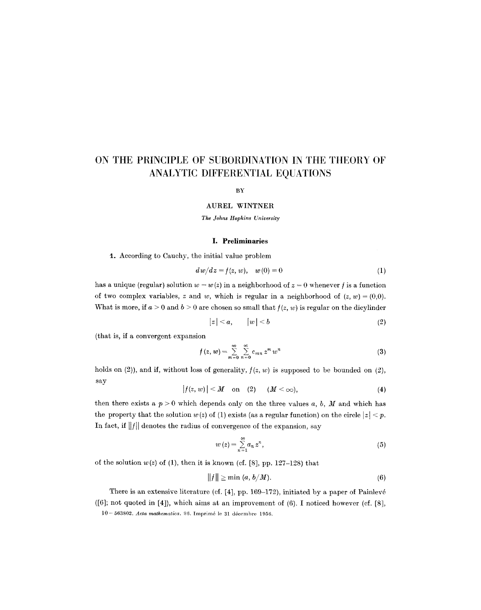# **ON THE PRINCIPLE OF SUBORDINATION IN THE THEORY OF ANALYTIC DIFFERENTIAL EQUATIONS**

BY

#### **AUREL WINTNER**

*The Johns Hopkins University* 

# **I. Preliminaries**

1. According to Cauchy, the initial value problem

$$
dw/dz = f(z, w), \quad w(0) = 0 \tag{1}
$$

has a unique (regular) solution  $w = w(z)$  in a neighborhood of  $z = 0$  whenever f is a function of two complex variables, z and w, which is regular in a neighborhood of  $(z, w) = (0,0)$ . What is more, if  $a > 0$  and  $b > 0$  are chosen so small that  $f(z, w)$  is regular on the dicylinder

$$
|z| < a, \qquad |w| < b \tag{2}
$$

(that is, if a convergent expansion

$$
f(z, w) = \sum_{m=0}^{\infty} \sum_{n=0}^{\infty} c_{mn} z^m w^n
$$
 (3)

holds on (2)), and if, without loss of generality,  $f(z, w)$  is supposed to be bounded on (2), say

$$
|f(z, w)| < M \quad \text{on} \quad (2) \qquad (M < \infty), \tag{4}
$$

then there exists a  $p > 0$  which depends only on the three values a, b, M and which has the property that the solution  $w(z)$  of (1) exists (as a regular function) on the circle  $|z| < p$ . In fact, if  $||f||$  denotes the radius of convergence of the expansion, say

$$
w(z) = \sum_{n=1}^{\infty} a_n z^n, \tag{5}
$$

of the solution  $w(z)$  of (1), then it is known (cf. [8], pp. 127-128) that

$$
||f|| \geq \min(a, b/M). \tag{6}
$$

There is an extensive literature (cf. [4], pp. 169-172), initiated by a paper of Painlevé  $([6]$ ; not quoted in [4]), which aims at an improvement of  $(6)$ . I noticed however (cf. [8], 10 - 563802. *Acta mathematica*. 96. Imprimé le 31 décembre 1956.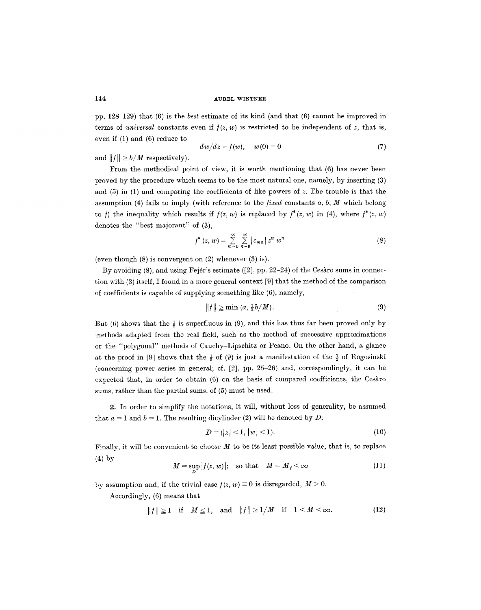pp. 128-129) that (6) is the *best* estimate of its kind (and that (6) cannot be improved in terms of *universal* constants even if  $f(z, w)$  is restricted to be independent of z, that is, even if (1) and (6) reduce to

$$
dw/dz = f(w), \quad w(0) = 0 \tag{7}
$$

and  $||f|| \ge b/M$  respectively).

From the methodical point of view, it is worth mentioning that (6) has never been proved by the procedure which seems to be the most natural one, namely, by inserting (3) and  $(5)$  in  $(1)$  and comparing the coefficients of like powers of z. The trouble is that the assumption (4) fails to imply (with reference to the *fixed* constants  $a, b, M$  which belong to f) the inequality which results if  $f(z, w)$  is replaced by  $f^*(z, w)$  in (4), where  $f^*(z, w)$ denotes the "best majorant" of (3),

$$
f^*(z, w) = \sum_{m=0}^{\infty} \sum_{n=0}^{\infty} |c_{mn}| z^m w^n
$$
 (8)

(even though (8) is convergent on (2) whenever (3) is).

By avoiding  $(8)$ , and using Fejér's estimate  $(2]$ , pp. 22-24) of the Cesaro sums in connection with (3) itself, I found in a more general context [9] that the method of the comparison of coefficients is capable of supplying something like (6), namely,

$$
||f|| \ge \min(a, \frac{1}{2}b/M). \tag{9}
$$

But (6) shows that the  $\frac{1}{2}$  is superfluous in (9), and this has thus far been proved only by methods adapted from the real field, such as the method of successive approximations or the "polygonal" methods of Cauchy-Lipschitz or Peano. On the other hand, a glance at the proof in [9] shows that the  $\frac{1}{2}$  of (9) is just a manifestation of the  $\frac{1}{2}$  of Rogosinski (concerning power series in general; cf. [2], pp. 25-26) and, correspondingly, it can be expected that, in order to obtain (6) on the basis of compared coefficients, the Cesaro sums, rather than the partial sums, of (5) must be used.

2. In order to simplify the notations, it will, without loss of generality, be assumed that  $a = 1$  and  $b = 1$ . The resulting dicylinder (2) will be denoted by D:

$$
D = (|z| < 1, |w| < 1). \tag{10}
$$

Finally, it will be convenient to choose  $M$  to be its least possible value, that is, to replace (4) by

$$
M = \sup_D |f(z, w)|; \quad \text{so that} \quad M = M_f < \infty \tag{11}
$$

by assumption and, if the trivial case  $f(z, w) \equiv 0$  is disregarded,  $M > 0$ .

Accordingly, (6) means that

$$
||f|| \ge 1 \quad \text{if} \quad M \le 1, \quad \text{and} \quad ||f|| \ge 1/M \quad \text{if} \quad 1 < M < \infty. \tag{12}
$$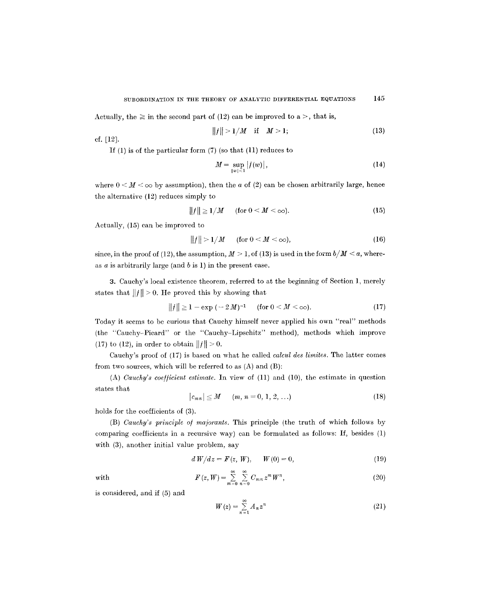Actually, the  $\geq$  in the second part of (12) can be improved to a  $>$ , that is,

$$
||f|| > 1/M \quad \text{if} \quad M > 1; \tag{13}
$$

cf. [12].

If (1) is of the particular form (7) (so that (11) reduces to

$$
M = \sup_{|w| < 1} |f(w)|,\tag{14}
$$

where  $0 < M < \infty$  by assumption), then the a of (2) can be chosen arbitrarily large, hence the alternative (12) reduces simply to

$$
||f|| \ge 1/M \quad \text{(for } 0 < M < \infty\text{)}.\tag{15}
$$

Actually, (15) can be improved to

$$
||f|| > 1/M \quad \text{(for } 0 < M < \infty\text{)},\tag{16}
$$

since, in the proof of (12), the assumption,  $M > 1$ , of (13) is used in the form  $b/M < a$ , whereas  $a$  is arbitrarily large (and  $b$  is 1) in the present case.

3. Cauchy's local existence theorem, referred to at the beginning of Section 1, merely states that  $||f|| > 0$ . He proved this by showing that

$$
||f|| \ge 1 - \exp(-2M)^{-1} \quad \text{(for } 0 < M < \infty\text{)}.\tag{17}
$$

Today it seems to be curious that Cauchy himself never applied his own "real" methods (the "Cauchy-Picard" or the "Cauchy-Lipschitz" method), methods which improve (17) to (12), in order to obtain  $||f|| > 0$ .

Cauchy's proof of (17) is based on what he called *calcul dee limites.* The latter comes from two sources, which will be referred to as (A) and (B):

(A) *Cauchy's coe//icient estimate.* In view of (11) and (10), the estimate in question states that

$$
|c_{mn}| \leq M \qquad (m, n = 0, 1, 2, ...)
$$
 (18)

holds for the coefficients of (3).

(B) *Cauchy's principle o/ majorants.* This principle (the truth of which follows by comparing coefficients in a recursive way) can be formulated as follows: If, besides (1) with (3), another initial value problem, say

$$
d W/dz = F(z, W), \qquad W(0) = 0,
$$
\n(19)

with

$$
F(z, W) = \sum_{m=0}^{\infty} \sum_{n=0}^{\infty} C_{mn} z^m W^n,
$$
\n(20)

is considered, and if (5) and

$$
W(z) = \sum_{n=1}^{\infty} A_n z^n \tag{21}
$$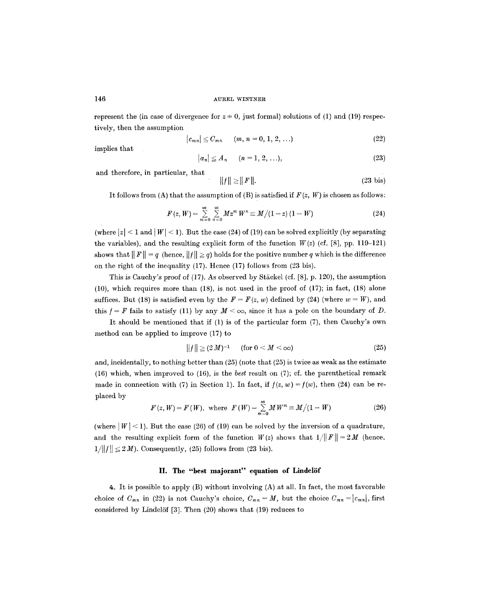represent the (in case of divergence for  $z = 0$ , just formal) solutions of (1) and (19) respectively, then the assumption

$$
|c_{mn}| \leq C_{mn} \qquad (m, n = 0, 1, 2, ...)
$$
 (22)

implies that

$$
|a_n|\leq A_n \qquad (n=1,2,\ldots),\tag{23}
$$

and therefore, in particular, that

$$
||f|| \ge ||F||. \tag{23 bis}
$$

It follows from (A) that the assumption of (B) is satisfied if  $F(z, W)$  is chosen as follows:

$$
F(z, W) = \sum_{m=0}^{\infty} \sum_{n=0}^{\infty} M z^m W^n \equiv M/(1-z) (1-W)
$$
 (24)

(where  $|z| < 1$  and  $|W| < 1$ ). But the case (24) of (19) can be solved explicitly (by separating the variables), and the resulting explicit form of the function  $W(z)$  (cf. [8], pp. 119-121) shows that  $||F|| = q$  (hence,  $||f|| \ge q$ ) holds for the positive number q which is the difference on the right of the inequality (17). Hence (17) follows from (23 bis).

This is Cauchy's proof of  $(17)$ . As observed by Stäckel (cf. [8], p. 120), the assumption (10), which requires more than (18), is not used in the proof of (17); in fact, (18) alone suffices. But (18) is satisfied even by the  $F = F(z, w)$  defined by (24) (where  $w = W$ ), and this  $f = F$  fails to satisfy (11) by any  $M < \infty$ , since it has a pole on the boundary of D.

It should be mentioned that if (1) is of the particular form (7), then Cauchy's own method can be applied to improve (17) to

$$
||f|| \geq (2M)^{-1} \qquad \text{(for } 0 < M < \infty\text{)}\tag{25}
$$

and, incidentally, to nothing better than (25) (note that (25) is twice as weak as the estimate (16) which, when improved to (16), is the *best* result on (7); cf. the parenthetical remark made in connection with (7) in Section 1). In fact, if  $f(z, w) = f(w)$ , then (24) can be replaced by

$$
F(z, W) = F(W)
$$
, where  $F(W) = \sum_{m=0}^{\infty} M W^m \equiv M/(1 - W)$  (26)

(where  $|W|$  < 1). But the case (26) of (19) can be solved by the inversion of a quadrature, and the resulting explicit form of the function  $W(z)$  shows that  $1/||F|| = 2M$  (hence,  $1/||f|| \le 2M$ ). Consequently, (25) follows from (23 bis).

#### II. The "best majorant" equation of Lindelöf

4. It is possible to apply (B) without involving (A) at all. In fact, the most favorable choice of  $C_{mn}$  in (22) is not Cauchy's choice,  $C_{mn} = M$ , but the choice  $C_{mn} = |c_{mn}|$ , first considered by Lindelöf  $[3]$ . Then  $(20)$  shows that  $(19)$  reduces to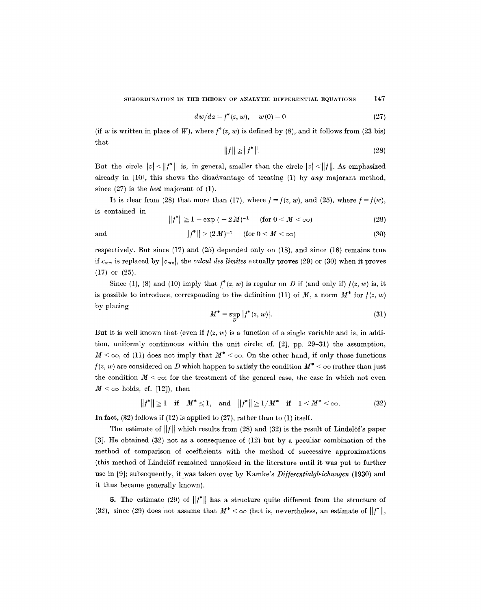$$
dw/dz = f^*(z, w), \quad w(0) = 0 \tag{27}
$$

(if w is written in place of W), where  $f^*(z, w)$  is defined by (8), and it follows from (23 bis) that

$$
||f|| \ge ||f^*||. \tag{28}
$$

But the circle  $|z| < ||f^*||$  is, in general, smaller than the circle  $|z| < ||f||$ . As emphasized already in  $[10]$ , this shows the disadvantage of treating  $(1)$  by any majorant method, since (27) is the *best* majorant of (1).

It is clear from (28) that more than (17), where  $f = f(z, w)$ , and (25), where  $f = f(w)$ , is contained in

$$
||f^*|| \ge 1 - \exp(-2M)^{-1} \quad (\text{for } 0 < M < \infty) \tag{29}
$$

and  $||f^*|| \geq (2M)^{-1}$  (for  $0 < M < \infty$ ) (30)

respectively. But since (17) and (25) depended only on (18), and since (18) remains true if  $c_{mn}$  is replaced by  $|c_{mn}|$ , the *calcul des limites* actually proves (29) or (30) when it proves (17) or (25).

Since (1), (8) and (10) imply that  $f^*(z, w)$  is regular on D if (and only if)  $f(z, w)$  is, it is possible to introduce, corresponding to the definition (11) of M, a norm  $M^*$  for  $f(z, w)$ by placing

$$
M^* = \sup_D |f^*(z, w)|.
$$
 (31)

But it is well known that (even if  $f(z, w)$  is a function of a single variable and is, in addition, uniformly continuous within the unit circle; cf. [2], pp. 29-31) the assumption,  $M < \infty$ , of (11) does not imply that  $M^* < \infty$ . On the other hand, if only those functions  $f(z, w)$  are considered on D which happen to satisfy the condition  $M^* < \infty$  (rather than just the condition  $M < \infty$ ; for the treatment of the general case, the case in which not even  $M < \infty$  holds, cf. [12]), then

 $||f^*|| \ge 1$  if  $M^* \le 1$ , and  $||f^*|| \ge 1/M^*$  if  $1 \le M^* < \infty$ . (32)

In fact,  $(32)$  follows if  $(12)$  is applied to  $(27)$ , rather than to  $(1)$  itself.

The estimate of  $||f||$  which results from (28) and (32) is the result of Lindelöf's paper [3]. He obtained (32) not as a consequence of (12) but by a peculiar combination of the method of comparison of coefficients with the method of successive approximations (this method of Lindelöf remained unnoticed in the literature until it was put to further use in [9]; subsequently, it was taken over by Kamke's *Di//erentialgleichungen* (1930) and it thus became generally known).

5. The estimate (29) of  $||f^*||$  has a structure quite different from the structure of (32), since (29) does not assume that  $M^* < \infty$  (but is, nevertheless, an estimate of  $||f^*||$ ,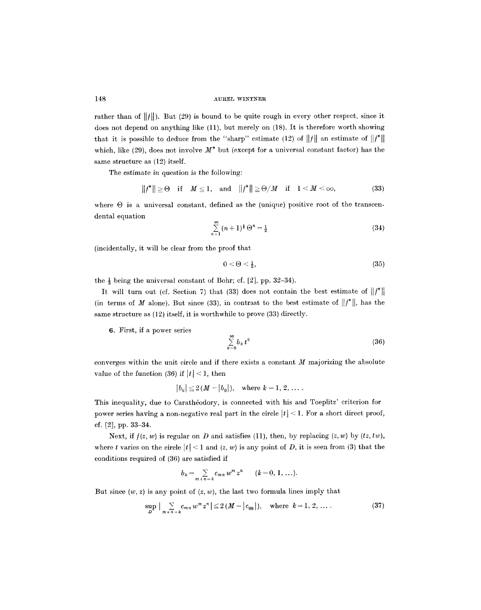rather than of  $||f||$ ). But (29) is bound to be quite rough in every other respect, since it does not depend on anything like (11), but merely on (18). It is therefore worth showing that it is possible to deduce from the "sharp" estimate (12) of  $||f||$  an estimate of  $||f^*||$ which, like (29), does not involve  $M^*$  but (except for a universal constant factor) has the same structure as (12) itself.

The estimate in question is the following:

$$
||f^*|| \geq 0 \quad \text{if} \quad M \leq 1, \quad \text{and} \quad ||f^*|| \geq \Theta/M \quad \text{if} \quad 1 < M < \infty,\tag{33}
$$

where  $\Theta$  is a universal constant, defined as the (unique) positive root of the transcendental equation

$$
\sum_{n=1}^{\infty} (n+1)^{\frac{1}{2}} \Theta^n = \frac{1}{2}
$$
 (34)

(incidentally, it will be clear from the proof that

$$
0 < \Theta < \frac{1}{3},\tag{35}
$$

the  $\frac{1}{3}$  being the universal constant of Bohr; cf. [2], pp. 32-34).

It will turn out (cf. Section 7) that (33) does not contain the best estimate of  $||f^*||$ (in terms of M alone). But since (33), in contrast to the best estimate of  $||f^*||$ , has the same structure as (12) itself, it is worthwhile to prove (33) directly.

6. First, if a power series

$$
\sum_{k=0}^{\infty} b_k t^k \tag{36}
$$

converges within the unit circle and if there exists a constant  $M$  majorizing the absolute value of the function (36) if  $|t|$  < 1, then

$$
|b_k| \leq 2(M - |b_0|)
$$
, where  $k = 1, 2, ...$ 

This inequality, due to Carathéodory, is connected with his and Toeplitz' criterion for power series having a non-negative real part in the circle  $|t| < 1$ . For a short direct proof, of. [2], pp. 33-34.

Next, if  $f(z, w)$  is regular on D and satisfies (11), then, by replacing  $(z, w)$  by  $(tz, tw)$ , where t varies on the circle  $|t| < 1$  and  $(z, w)$  is any point of D, it is seen from (3) that the conditions required of (36) are satisfied if

$$
b_k = \sum_{m+n=k} c_{mn} w^m z^n \qquad (k = 0, 1, ...).
$$

But since  $(w, z)$  is any point of  $(z, w)$ , the last two formula lines imply that

$$
\sup_{D} \left| \sum_{m+n=k} c_{mn} w^{m} z^{n} \right| \leq 2 \left( M - |c_{00}| \right), \quad \text{where } k = 1, 2, \dots \tag{37}
$$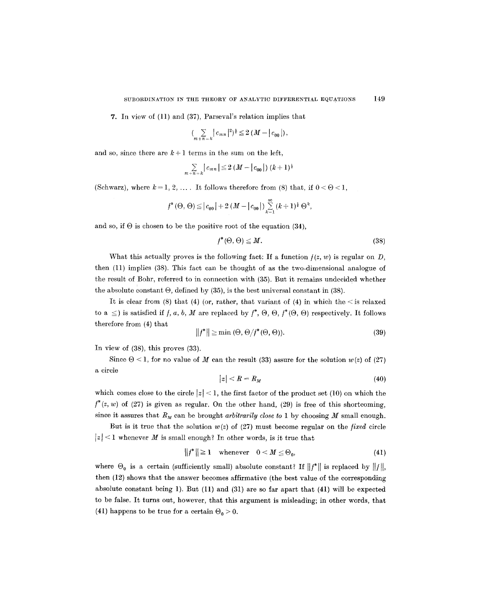7. In view of  $(11)$  and  $(37)$ , Parseval's relation implies that

$$
\left(\sum_{m+n=k} |c_{mn}|^2\right)^{\frac{1}{2}} \leq 2\left(M - |c_{00}|\right),
$$

and so, since there are  $k+1$  terms in the sum on the left,

$$
\sum_{m+n=k} |c_{mn}| \leq 2 (M - |c_{00}|) (k+1)^{\frac{1}{2}}
$$

(Schwarz), where  $k = 1, 2, \ldots$ . It follows therefore from (8) that, if  $0 < \Theta < 1$ ,

$$
f^*(\Theta, \Theta) \leq |c_{00}| + 2(M - |c_{00}|) \sum_{k=1}^{\infty} (k+1)^{\frac{1}{2}} \Theta^k
$$

and so, if  $\Theta$  is chosen to be the positive root of the equation (34),

$$
f^*(\Theta, \Theta) \leq M. \tag{38}
$$

What this actually proves is the following fact: If a function  $f(z, w)$  is regular on D, then (11) implies (38). This fact can be thought of as the two-dimensional analogue of the result of Bohr, referred to in connection with (35). But it remains undecided whether the absolute constant  $\Theta$ , defined by (35), is the best universal constant in (38).

It is clear from (8) that (4) (or, rather, that variant of (4) in which the  $\leq$  is relaxed to a  $\leq$ ) is satisfied if f, a, b, M are replaced by  $f^*, \Theta, \Theta, f^*(\Theta, \Theta)$  respectively. It follows therefore from (4) that

$$
||f^*|| \ge \min(\Theta, \Theta/f^*(\Theta, \Theta)).
$$
\n(39)

In view of (38), this proves (33).

Since  $\Theta$  < 1, for no value of M can the result (33) assure for the solution  $w(z)$  of (27) a circle

$$
|z| < R = R_M \tag{40}
$$

which comes close to the circle  $|z| < 1$ , the first factor of the product set (10) on which the  $f^*(z, w)$  of (27) is given as regular. On the other hand, (29) is free of this shortcoming, since it assures that  $R_M$  can be brought *arbitrarily close to* 1 by choosing M small enough.

But is it true that the solution  $w(z)$  of (27) must become regular on the *fixed* circle  $|z|$  < 1 whenever M is small enough? In other words, is it true that

$$
||f^*|| \ge 1 \quad \text{whenever} \quad 0 < M \le \Theta_0,\tag{41}
$$

where  $\Theta_0$  is a certain (sufficiently small) absolute constant? If  $||f^*||$  is replaced by  $||f||$ , then (12) shows that the answer becomes affirmative (the best value of the corresponding absolute constant being 1). But (11) and (31) are so far apart that (41) will be expected to be false. It turns out, however, that this argument is misleading; in other words, that (41) happens to be true for a certain  $\Theta_0 > 0$ .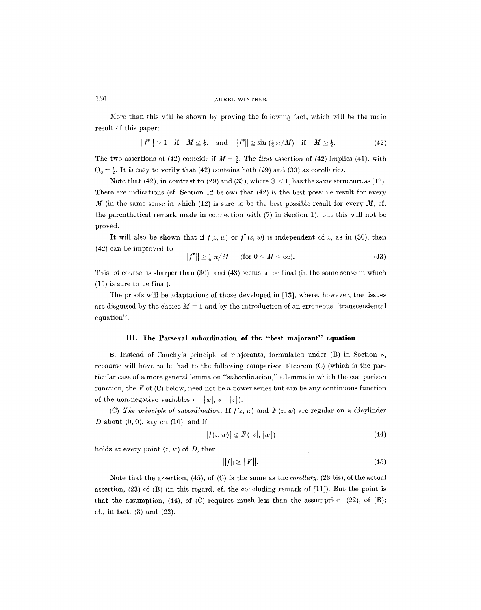More than this will be shown by proving the following fact, which will be the main result of this paper:

$$
||f^*|| \ge 1 \quad \text{if} \quad M \le \frac{1}{2}, \quad \text{and} \quad ||f^*|| \ge \sin\left(\frac{1}{4}\pi/M\right) \quad \text{if} \quad M \ge \frac{1}{2}.\tag{42}
$$

The two assertions of (42) coincide if  $M = \frac{1}{2}$ . The first assertion of (42) implies (41), with  $\Theta_0 = \frac{1}{2}$ . It is easy to verify that (42) contains both (29) and (33) as corollaries.

Note that (42), in contrast to (29) and (33), where  $\Theta \leq 1$ , has the same structure as (12). There are indications (cf. Section 12 below) that (42) is the best possible result for every M (in the same sense in which (12) is sure to be the best possible result for every  $M$ ; cf. the parenthetical remark made in connection with (7) in Section 1), but this will not he proved.

It will also be shown that if  $f(z, w)$  or  $f^*(z, w)$  is independent of z, as in (30), then (42) can he improved to

$$
||f^*|| \ge \frac{1}{4} \pi / M \qquad \text{(for } 0 < M < \infty\text{)}.
$$
\n(43)

This, of course, is sharper than (30), and (43) seems to be final (in the same sense in which (15) is sure to be final).

The proofs will be adaptations of those developed in [13], where, however, the issues are disguised by the choice  $M = 1$  and by the introduction of an erroneous "transcendental" equation".

# **III. The Parseval subordination of the "best majorant" equation**

8. Instead of Cauehy's principle of majorants, formulated under (B) in Section 3, recourse will have to be had to the following comparison theorem (C) (which is the particular case of a more general lemma on "subordination," a lemma in which the comparison function, the  $F$  of  $(C)$  below, need not be a power series but can be any continuous function of the non-negative variables  $r = |w|, s = |z|$ ).

(C) The principle of subordination. If  $f(z, w)$  and  $F(z, w)$  are regular on a dicylinder  $D$  about  $(0, 0)$ , say on  $(10)$ , and if

$$
|f(z, w)| \le F(|z|, |w|)
$$
\n<sup>(44)</sup>

holds at every point  $(z, w)$  of D, then

$$
||f|| \ge ||F||. \tag{45}
$$

Note that the assertion, (45), of (C) is the same as the *corollary,* (23 his), of the actual assertion,  $(23)$  of  $(B)$  (in this regard, cf. the concluding remark of  $[11]$ ). But the point is that the assumption,  $(44)$ , of  $(C)$  requires much less than the assumption,  $(22)$ , of  $(B)$ ; cf., in fact, (3) and (22).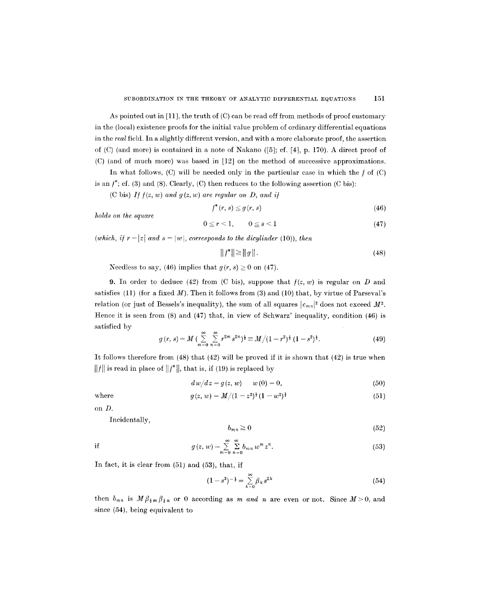As pointed out in [11], the truth of (C) can be read off from methods of proof customary in the (local) existence proofs for the initial value problem of ordinary differential equations in the *real* field. In a slightly different version, and with a more elaborate proof, the assertion of  $(C)$  (and more) is contained in a note of Nakano  $([5];$  ef. [4], p. 170). A direct proof of (C) (and of much more) was based in [12] on the method of successive approximations.

In what follows,  $(C)$  will be needed only in the particular case in which the  $f$  of  $(C)$ is an  $f^*$ ; ef. (3) and (8). Clearly, (C) then reduces to the following assertion (C bis):

(C bis) If  $f(z, w)$  and  $g(z, w)$  are regular on D, and if

$$
f^*(r, s) \leq g(r, s) \tag{46}
$$

*holds on the square* 

$$
0 \le r < 1, \qquad 0 \le s < 1 \tag{47}
$$

*(which, if*  $r = |z|$  *and*  $s = |w|$ *, corresponds to the dicylinder* (10)), *then* 

$$
||f^*|| \ge ||g||. \tag{48}
$$

Needless to say, (46) implies that  $g(r, s) \ge 0$  on (47).

9. In order to deduce (42) from (C bis), suppose that  $f(z, w)$  is regular on D and satisfies (11) (for a fixed  $M$ ). Then it follows from (3) and (10) that, by virtue of Parseval's relation (or just of Bessels's inequality), the sum of all squares  $|c_{mn}|^2$  does not exceed  $M^2$ . Hence it is seen from (8) and (47) that, in view of Schwarz' inequality, condition (46) is satisfied by

$$
g(r,s) = M \left( \sum_{m=0}^{\infty} \sum_{n=0}^{\infty} r^{2m} s^{2n} \right) = M / (1 - r^2)^{\frac{1}{2}} (1 - s^2)^{\frac{1}{2}}.
$$
 (49)

It follows therefore from (48) that (42) will be proved if it is shown that (42) is true when  $||f||$  is read in place of  $||f^*||$ , that is, if (19) is replaced by

$$
dw/dz = g(z, w) \qquad w(0) = 0,
$$
\n(50)

where 
$$
g(z, w) = M/(1-z^2)^{\frac{1}{2}}(1-w^2)^{\frac{1}{2}}
$$
 (51)

on D.

Incidentally,

$$
b_{mn} \ge 0 \tag{52}
$$

if 
$$
g(z, w) = \sum_{m=0}^{\infty} \sum_{n=0}^{\infty} b_{mn} w^m z^n.
$$
 (53)

In fact, it is clear from (51) and (53), that, if

$$
(1-s^2)^{-\frac{1}{2}} = \sum_{k=0}^{\infty} \beta_k s^{2k}
$$
 (54)

then  $b_{mn}$  is  $M \beta_{\frac{1}{2}m} \beta_{\frac{1}{2}n}$  or 0 according as m and n are even or not. Since  $M>0$ , and since (54), being equivalent to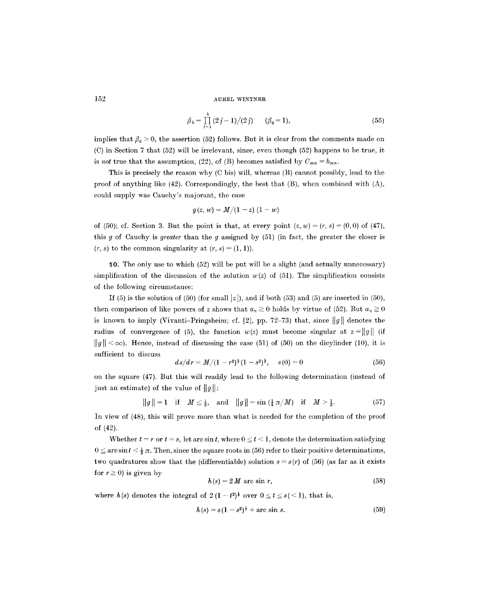$$
\beta_k = \prod_{j=1}^k (2j-1)/(2j) \qquad (\beta_0 = 1), \tag{55}
$$

implies that  $\beta_k > 0$ , the assertion (52) follows. But it is clear from the comments made on (C) in Section 7 that (52) will be irrelevant, since, even though (52) happens to be true, it is *not* true that the assumption, (22), of (B) becomes satisfied by  $C_{mn} = b_{mn}$ .

This is precisely the reason why (C bis) will, whereas (B) cannot possibly, lead to the proof of anything like  $(42)$ . Correspondingly, the best that  $(B)$ , when combined with  $(A)$ , could supply was Cauchy's majorant, the case

$$
g(z, w) = M/(1-z) (1-w)
$$

of (50); cf. Section 3. But the point is that, at every point  $(z, w) = (r, s) \pm (0, 0)$  of (47), this g of Cauchy is *greater* than the g assigned by (51) (in fact, the greater the closer is  $(r, s)$  to the common singularity at  $(r, s) = (1, 1)$ .

10. The only use to which (52) will be put will be a slight (and actually unnecessary) simplification of the discussion of the solution  $w(z)$  of (51). The simplification consists of the following circumstance:

If (5) is the solution of (50) (for small  $|z|$ ), and if both (53) and (5) are inserted in (50), then comparison of like powers of z shows that  $a_n \ge 0$  holds by virtue of (52). But  $a_n \ge 0$ is known to imply (Vivanti-Pringsheim; cf. [2], pp. 72-73) that, since  $||g||$  denotes the radius of convergence of (5), the function  $w(z)$  must become singular at  $z=||g||$  (if  $||g|| < \infty$ ). Hence, instead of discussing the case (51) of (50) on the dicylinder (10), it is sufficient to discuss

$$
ds/dr = M/(1 - r^2)^{\frac{1}{2}}(1 - s^2)^{\frac{1}{2}}, \quad s(0) = 0 \tag{56}
$$

on the square (47). But this will readily lead to the following determination (instead of just an estimate) of the value of  $||g||$ :

 $||g||=1$  if  $M \leq \frac{1}{2}$ , and  $||g||=\sin(\frac{1}{4}\pi/M)$  if  $M>\frac{1}{2}$ . (57)

In view of (48), this will prove more than what is needed for the completion of the proof of (42).

Whether  $t = r$  or  $t = s$ , let arc sin t, where  $0 \le t < 1$ , denote the determination satisfying  $0 \leq \arcsin t < \frac{1}{2} \pi$ . Then, since the square roots in (56) refer to their positive determinations, two quadratures show that the (differentiable) solution  $s = s(r)$  of (56) (as far as it exists for  $r \ge 0$ ) is given by

$$
h(s) = 2 M \text{ arc } \sin r,
$$
 (58)

where  $h(s)$  denotes the integral of  $2(1-t^2)^{\frac{1}{2}}$  over  $0 \le t \le s \le 1$ , that is,

$$
h(s) = s(1 - s^2)^{\frac{1}{2}} + \text{arc sin } s. \tag{59}
$$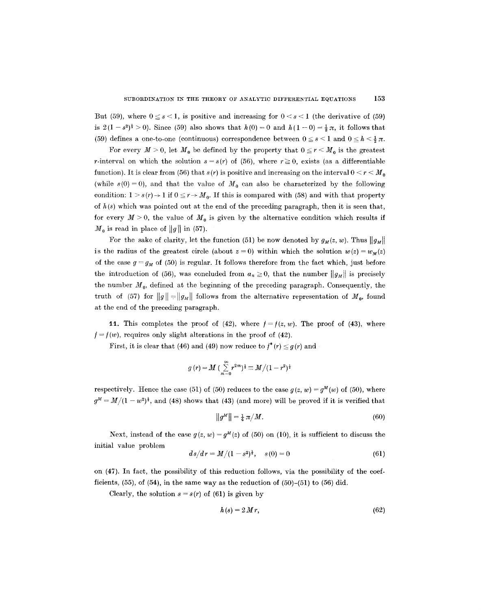But (59), where  $0 \leq s \leq 1$ , is positive and increasing for  $0 \leq s \leq 1$  (the derivative of (59) is  $2(1-s^2)^{\frac{1}{2}} > 0$ ). Since (59) also shows that  $h(0) = 0$  and  $h(1-0) = \frac{1}{2}\pi$ , it follows that (59) defines a one-to-one (continuous) correspondence between  $0 \le s \le 1$  and  $0 \le h \le \frac{1}{2} \pi$ .

For every  $M > 0$ , let  $M_0$  be defined by the property that  $0 \le r \le M_0$  is the greatest r-interval on which the solution  $s = s(r)$  of (56), where  $r \ge 0$ , exists (as a differentiable function). It is clear from (56) that  $s(r)$  is positive and increasing on the interval  $0 \le r \le M_0$ (while  $s(0) = 0$ ), and that the value of  $M_0$  can also be characterized by the following condition:  $1 > s(r) \rightarrow 1$  if  $0 \le r \rightarrow M_0$ . If this is compared with (58) and with that property of  $h(s)$  which was pointed out at the end of the preceding paragraph, then it is seen that, for every  $M > 0$ , the value of  $M_0$  is given by the alternative condition which results if  $M_0$  is read in place of ||g|| in (57).

For the sake of clarity, let the function (51) be now denoted by  $g_M(z, w)$ . Thus  $||g_M||$ is the radius of the greatest circle (about  $z = 0$ ) within which the solution  $w(z) = w<sub>M</sub>(z)$ of the case  $g = g_M$  of (50) is regular. It follows therefore from the fact which, just before the introduction of (56), was concluded from  $a_n \ge 0$ , that the number  $||g_M||$  is precisely the number  $M_0$ , defined at the beginning of the preceding paragraph. Consequently, the truth of (57) for  $||g|| = ||g_M||$  follows from the alternative representation of  $M_0$ , found at the end of the preceding paragraph.

11. This completes the proof of  $(42)$ , where  $f = f(z, w)$ . The proof of  $(43)$ , where  $f = f(w)$ , requires only slight alterations in the proof of (42).

First, it is clear that (46) and (49) now reduce to  $f^*(r) \leq g(r)$  and

$$
g\left(r\right)\!=\!M\,(\sum_{m=0}^{\infty}r^{2m})^{\frac{1}{2}}\!\equiv M/(1-r^2)^{\frac{1}{2}}
$$

respectively. Hence the case (51) of (50) reduces to the case  $g(z, w) = g^M(w)$  of (50), where  $g^M = M/(1 - w^2)^{\frac{1}{2}}$ , and (48) shows that (43) (and more) will be proved if it is verified that

$$
||g^M|| = \frac{1}{4} \pi / M. \tag{60}
$$

Next, instead of the case  $g(z, w) = g<sup>M</sup>(z)$  of (50) on (10), it is sufficient to discuss the initial value problem

$$
ds/dr = M/(1 - s^2)^{\frac{1}{2}}, \quad s(0) = 0 \tag{61}
$$

on (47). In fact, the possibility of this reduction follows, via the possibility of the coefficients,  $(55)$ , of  $(54)$ , in the same way as the reduction of  $(50)$ - $(51)$  to  $(56)$  did.

Clearly, the solution  $s = s(r)$  of (61) is given by

$$
h(s) = 2Mr, \tag{62}
$$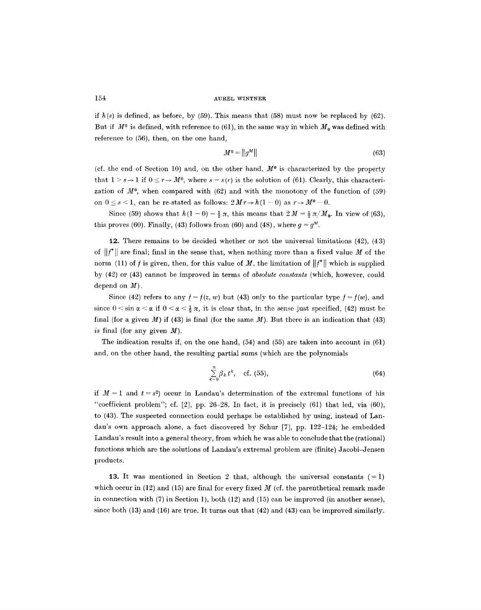if  $h(s)$  is defined, as before, by (59). This means that (58) must now be replaced by (62). But if  $M^0$  is defined, with reference to (61), in the same way in which  $M_0$  was defined with reference to (56), then, on the one hand,

$$
M^0 = ||g^M|| \tag{63}
$$

(cf. the end of Section 10) and, on the other hand,  $M^0$  is characterized by the property that  $1 > s \rightarrow 1$  if  $0 \le r \rightarrow M^0$ , where  $s = s(r)$  is the solution of (61). Clearly, this characterization of  $M^0$ , when compared with (62) and with the monotony of the function of (59) on  $0 \le s < 1$ , can be re-stated as follows:  $2Mr \rightarrow h(1-0)$  as  $r \rightarrow M^0 - 0$ .

Since (59) shows that  $h(1-0) = \frac{1}{2}\pi$ , this means that  $2M = \frac{1}{2}\pi/M_0$ . In view of (63), this proves (60). Finally, (43) follows from (60) and (48), where  $q = q^M$ .

12. There remains to he decided whether or not the universal limitations (42), (43) of  $||f^*||$  are final; final in the sense that, when nothing more than a fixed value M of the norm (11) of f is given, then, for this value of M, the limitation of  $||f^*||$  which is supplied by (42) or (43) cannot be improved in terms of *absolute constants* (which, however, could depend on  $M$ ).

Since (42) refers to any  $f = f(z, w)$  but (43) only to the particular type  $f = f(w)$ , and since  $0 \le \sin \alpha \le \alpha$  if  $0 \le \alpha \le \frac{1}{2} \pi$ , it is clear that, in the sense just specified, (42) must be final (for a given  $M$ ) if (43) is final (for the same  $M$ ). But there is an indication that (43) *is* final (for any given M).

The indication results if, on the one hand,  $(54)$  and  $(55)$  are taken into account in  $(61)$ and, on the other hand, the resulting partial sums (which are the polynomials

$$
\sum_{k=0}^{n} \beta_k t^k, \quad \text{cf. (55),} \tag{64}
$$

if  $M = 1$  and  $t = s^2$  occur in Landau's determination of the extremal functions of his "coefficient problem"; cf.  $[2]$ , pp. 26–28. In fact, it is precisely  $(61)$  that led, via  $(60)$ , to (43). The suspected connection could perhaps be established by using, instead of Landau's own approach alone, a fact discovered by Schur [7], pp. 122-124; he embedded Landau's result into a general theory, from which he was able to conclude that the (rational) functions which are the solutions of Landau's extremal problem are (finite) Jacobi-Jensen products.

13. It was mentioned in Section 2 that, although the universal constants  $(= 1)$ which occur in (12) and (15) are final for every fixed  $M$  (cf. the parenthetical remark made in connection with (7) in Section 1), both (12) and (15) can be improved (in another sense), since both (13) and (16) are true. It turns out that (42) and (43) can be improved similarly.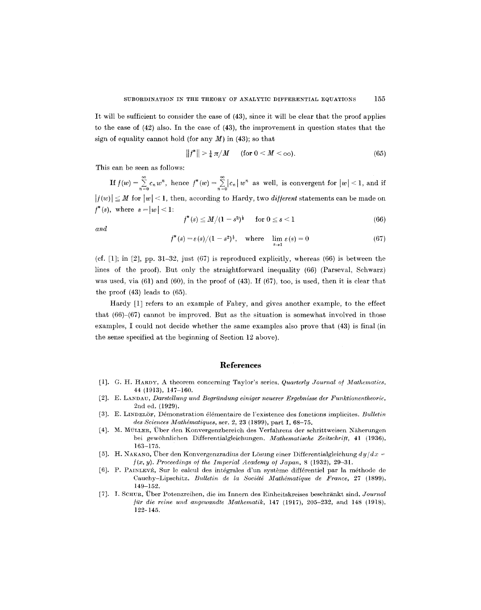It will be sufficient to consider the case of (43), since it will be clear that the proof applies to the case of (42) also. In the ease of (43), the improvement in question states that the sign of equality cannot hold (for any  $M$ ) in (43); so that

$$
||f^*|| > \frac{1}{4} \pi / M \qquad \text{(for } 0 < M < \infty\text{)}.
$$
\n(65)

This can be seen as follows:

If  $f(w) = \sum_{n=0}^{\infty} c_n w^n$ , hence  $f^*(w) = \sum_{n=0}^{\infty} |c_n| w^n$  as well, is convergent for  $|w| \leq 1$ , and if  $|f(w)| \leq M$  for  $|w| < 1$ , then, according to Hardy, two *different* statements can be made on  $f^*(s)$ , where  $s = |w| < 1$ :

$$
f^*(s) \le M/(1-s^2)^{\frac{1}{2}} \quad \text{for } 0 \le s < 1 \tag{66}
$$

*and* 

$$
f^*(s) = \varepsilon(s)/(1-s^2)^{\frac{1}{2}}, \quad \text{where} \quad \lim_{s \to 1} \varepsilon(s) = 0 \tag{67}
$$

(cf.  $[1]$ ; in  $[2]$ , pp. 31-32, just (67) is reproduced explicitly, whereas (66) is between the lines of the proof). But only the straightforward inequality (66) (Parseval, Schwarz) was used, via  $(61)$  and  $(60)$ , in the proof of  $(43)$ . If  $(67)$ , too, is used, then it is clear that the proof (43) leads to (65).

Hardy [1] refers to an example of Fabry, and gives another example, to the effect that (66)-(67) cannot be improved. But as the situation is somewhat involved in those examples, I could not decide whether the same examples also prove that (43) is final (in the sense specified at the beginning of Section 12 above).

# **References**

- [1]. G. H. HARDY, A theorem concerning Taylor's series. *Quarterly Journal of Mathematics*, 44 (1913), 147-160.
- [2]. E. LANDAU, *Darstellung und Begründung einiger neuerer Ergebnisse der Funktionentheorie*, 2nd ed. (1929).
- [3]. E. LINDELOF, Ddmonstration 616mentaire de l'existence des fonetions implicites. *Bulletir~ des Sciences Mathdmatiques,* ser. 2, 23 (1899), part I, 68-75.
- [4]. M. MÜLLER, Über den Konvergenzbereich des Verfahrens der schrittweisen Näherungen bei gewöhnlichen Differentialgleichungen. *Mathematische Zeitschrift*, 41 (1936), 163-175.
- [5]. H. NAKANO, Über den Konvergenzradius der Lösung einer Differentialgleichung  $dy/dx =$  $f(x, y)$ . Proceedings of the Imperial Academy of Japan, 8 (1932), 29-31.
- [6]. P. PAINLEVÉ, Sur le calcul des intégrales d'un système différentiel par la méthode de Cauchy-Lipschitz. *Bulletin de la Société Mathématique de France*, 27 (1899), 149-152.
- [7]. I. SCHUR, Über Potenzreihen, die im Innern des Einheitskreises beschränkt sind. *Journal für die reine und angewandte Mathematik*, 147 (1917), 205-232, and 148 (1918), 122- 145.